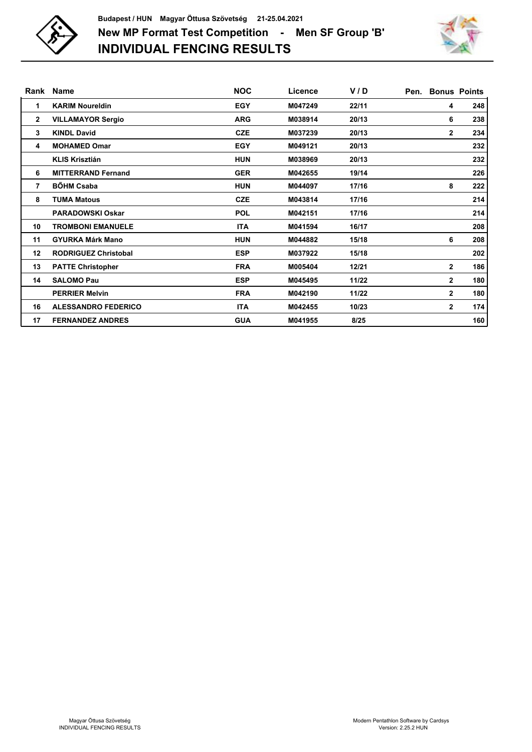



| Rank           | <b>Name</b>                 | <b>NOC</b> | Licence | V/D   | Pen. |              | <b>Bonus Points</b> |
|----------------|-----------------------------|------------|---------|-------|------|--------------|---------------------|
| 1              | <b>KARIM Noureldin</b>      | <b>EGY</b> | M047249 | 22/11 |      | 4            | 248                 |
| $\mathbf{2}$   | <b>VILLAMAYOR Sergio</b>    | <b>ARG</b> | M038914 | 20/13 |      | 6            | 238                 |
| 3              | <b>KINDL David</b>          | <b>CZE</b> | M037239 | 20/13 |      | $\mathbf{2}$ | 234                 |
| 4              | <b>MOHAMED Omar</b>         | <b>EGY</b> | M049121 | 20/13 |      |              | 232                 |
|                | <b>KLIS Krisztián</b>       | <b>HUN</b> | M038969 | 20/13 |      |              | 232                 |
| 6              | <b>MITTERRAND Fernand</b>   | <b>GER</b> | M042655 | 19/14 |      |              | 226                 |
| $\overline{7}$ | <b>BÖHM Csaba</b>           | <b>HUN</b> | M044097 | 17/16 |      | 8            | 222                 |
| 8              | <b>TUMA Matous</b>          | <b>CZE</b> | M043814 | 17/16 |      |              | 214                 |
|                | <b>PARADOWSKI Oskar</b>     | <b>POL</b> | M042151 | 17/16 |      |              | 214                 |
| 10             | <b>TROMBONI EMANUELE</b>    | <b>ITA</b> | M041594 | 16/17 |      |              | 208                 |
| 11             | <b>GYURKA Márk Mano</b>     | <b>HUN</b> | M044882 | 15/18 |      | 6            | 208                 |
| 12             | <b>RODRIGUEZ Christobal</b> | <b>ESP</b> | M037922 | 15/18 |      |              | 202                 |
| 13             | <b>PATTE Christopher</b>    | <b>FRA</b> | M005404 | 12/21 |      | $\mathbf{2}$ | 186                 |
| 14             | <b>SALOMO Pau</b>           | <b>ESP</b> | M045495 | 11/22 |      | $\mathbf{2}$ | 180                 |
|                | <b>PERRIER Melvin</b>       | <b>FRA</b> | M042190 | 11/22 |      | $\mathbf{2}$ | 180                 |
| 16             | <b>ALESSANDRO FEDERICO</b>  | <b>ITA</b> | M042455 | 10/23 |      | $\mathbf{2}$ | 174                 |
| 17             | <b>FERNANDEZ ANDRES</b>     | <b>GUA</b> | M041955 | 8/25  |      |              | 160                 |